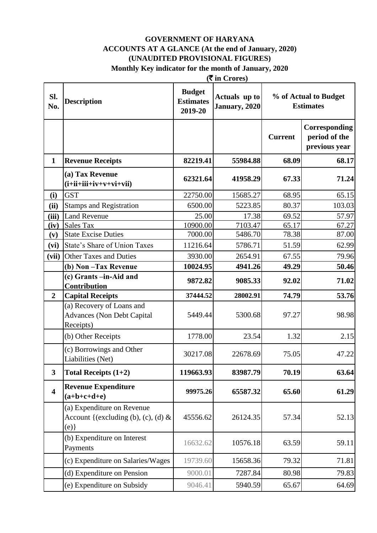#### **GOVERNMENT OF HARYANA ACCOUNTS AT A GLANCE (At the end of January, 2020) (UNAUDITED PROVISIONAL FIGURES) Monthly Key indicator for the month of January, 2020**

|                         | $(\overline{\mathbf{\overline{z}}}$ in Crores)                              |                                              |                                |                |                                                 |
|-------------------------|-----------------------------------------------------------------------------|----------------------------------------------|--------------------------------|----------------|-------------------------------------------------|
| SI.<br>No.              | <b>Description</b>                                                          | <b>Budget</b><br><b>Estimates</b><br>2019-20 | Actuals up to<br>January, 2020 |                | % of Actual to Budget<br><b>Estimates</b>       |
|                         |                                                                             |                                              |                                | <b>Current</b> | Corresponding<br>period of the<br>previous year |
| $\mathbf{1}$            | <b>Revenue Receipts</b>                                                     | 82219.41                                     | 55984.88                       | 68.09          | 68.17                                           |
|                         | (a) Tax Revenue<br>$(i+ii+iii+iv+v+vi+vii)$                                 | 62321.64                                     | 41958.29                       | 67.33          | 71.24                                           |
| (i)                     | <b>GST</b>                                                                  | 22750.00                                     | 15685.27                       | 68.95          | 65.15                                           |
| (ii)                    | <b>Stamps and Registration</b>                                              | 6500.00                                      | 5223.85                        | 80.37          | 103.03                                          |
| (iii)                   | <b>Land Revenue</b>                                                         | 25.00                                        | 17.38                          | 69.52          | 57.97                                           |
| (iv)                    | Sales Tax                                                                   | 10900.00                                     | 7103.47                        | 65.17          | 67.27                                           |
| (v)                     | <b>State Excise Duties</b>                                                  | 7000.00                                      | 5486.70                        | 78.38          | 87.00                                           |
| (vi)                    | State's Share of Union Taxes                                                | 11216.64                                     | 5786.71                        | 51.59          | 62.99                                           |
| (vii)                   | <b>Other Taxes and Duties</b>                                               | 3930.00                                      | 2654.91                        | 67.55          | 79.96                                           |
|                         | (b) Non-Tax Revenue                                                         | 10024.95                                     | 4941.26                        | 49.29          | 50.46                                           |
|                         | (c) Grants -in-Aid and<br>Contribution                                      | 9872.82                                      | 9085.33                        | 92.02          | 71.02                                           |
| $\overline{2}$          | <b>Capital Receipts</b>                                                     | 37444.52                                     | 28002.91                       | 74.79          | 53.76                                           |
|                         | (a) Recovery of Loans and<br><b>Advances (Non Debt Capital</b><br>Receipts) | 5449.44                                      | 5300.68                        | 97.27          | 98.98                                           |
|                         | (b) Other Receipts                                                          | 1778.00                                      | 23.54                          | 1.32           | 2.15                                            |
|                         | (c) Borrowings and Other<br>Liabilities (Net)                               | 30217.08                                     | 22678.69                       | 75.05          | 47.22                                           |
| $\overline{\mathbf{3}}$ | Total Receipts $(1+2)$                                                      | 119663.93                                    | 83987.79                       | 70.19          | 63.64                                           |
| $\overline{\mathbf{4}}$ | <b>Revenue Expenditure</b><br>$(a+b+c+d+e)$                                 | 99975.26                                     | 65587.32                       | 65.60          | 61.29                                           |
|                         | (a) Expenditure on Revenue<br>Account {(excluding (b), (c), (d) $\&$<br>(e) | 45556.62                                     | 26124.35                       | 57.34          | 52.13                                           |
|                         | (b) Expenditure on Interest<br>Payments                                     | 16632.62                                     | 10576.18                       | 63.59          | 59.11                                           |
|                         | (c) Expenditure on Salaries/Wages                                           | 19739.60                                     | 15658.36                       | 79.32          | 71.81                                           |
|                         | (d) Expenditure on Pension                                                  | 9000.01                                      | 7287.84                        | 80.98          | 79.83                                           |
|                         | (e) Expenditure on Subsidy                                                  | 9046.41                                      | 5940.59                        | 65.67          | 64.69                                           |
|                         |                                                                             |                                              |                                |                |                                                 |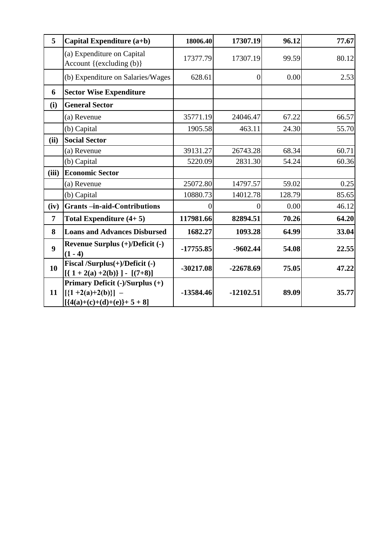| 5                | Capital Expenditure (a+b)                                                                              | 18006.40    | 17307.19       | 96.12  | 77.67 |
|------------------|--------------------------------------------------------------------------------------------------------|-------------|----------------|--------|-------|
|                  | (a) Expenditure on Capital<br>Account {(excluding (b)}                                                 | 17377.79    | 17307.19       | 99.59  | 80.12 |
|                  | (b) Expenditure on Salaries/Wages                                                                      | 628.61      | $\overline{0}$ | 0.00   | 2.53  |
| 6                | <b>Sector Wise Expenditure</b>                                                                         |             |                |        |       |
| (i)              | <b>General Sector</b>                                                                                  |             |                |        |       |
|                  | (a) Revenue                                                                                            | 35771.19    | 24046.47       | 67.22  | 66.57 |
|                  | (b) Capital                                                                                            | 1905.58     | 463.11         | 24.30  | 55.70 |
| (ii)             | <b>Social Sector</b>                                                                                   |             |                |        |       |
|                  | (a) Revenue                                                                                            | 39131.27    | 26743.28       | 68.34  | 60.71 |
|                  | (b) Capital                                                                                            | 5220.09     | 2831.30        | 54.24  | 60.36 |
| (iii)            | <b>Economic Sector</b>                                                                                 |             |                |        |       |
|                  | (a) Revenue                                                                                            | 25072.80    | 14797.57       | 59.02  | 0.25  |
|                  | (b) Capital                                                                                            | 10880.73    | 14012.78       | 128.79 | 85.65 |
| (iv)             | <b>Grants-in-aid-Contributions</b>                                                                     |             | $\mathbf{0}$   | 0.00   | 46.12 |
| $\overline{7}$   | Total Expenditure $(4+5)$                                                                              | 117981.66   | 82894.51       | 70.26  | 64.20 |
| 8                | <b>Loans and Advances Disbursed</b>                                                                    | 1682.27     | 1093.28        | 64.99  | 33.04 |
| $\boldsymbol{9}$ | Revenue Surplus $(+)/$ Deficit $(-)$<br>$(1 - 4)$                                                      | $-17755.85$ | $-9602.44$     | 54.08  | 22.55 |
| 10               | Fiscal /Surplus(+)/Deficit (-)<br>$[(1+2(a)+2(b))] - [(7+8)]$                                          | $-30217.08$ | $-22678.69$    | 75.05  | 47.22 |
| 11               | Primary Deficit (-)/Surplus (+)<br>$\left[ \{1 + 2(a) + 2(b)\}\right]$ –<br>$[{4(a)+(c)+(d)+(e)}+5+8]$ | $-13584.46$ | $-12102.51$    | 89.09  | 35.77 |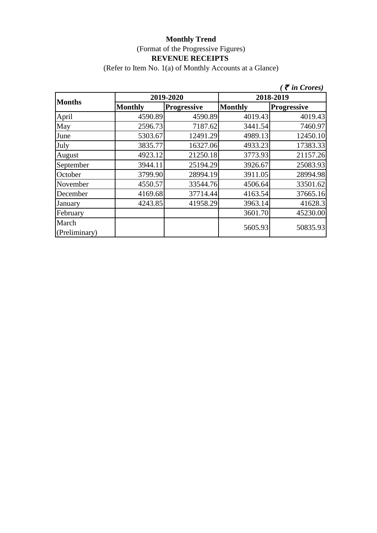(Refer to Item No. 1(a) of Monthly Accounts at a Glance)

|                        |                |                    |                | $\zeta$ $\bar{\zeta}$ in Crores) |  |
|------------------------|----------------|--------------------|----------------|----------------------------------|--|
| <b>Months</b>          |                | 2019-2020          | 2018-2019      |                                  |  |
|                        | <b>Monthly</b> | <b>Progressive</b> | <b>Monthly</b> | <b>Progressive</b>               |  |
| April                  | 4590.89        | 4590.89            | 4019.43        | 4019.43                          |  |
| May                    | 2596.73        | 7187.62            | 3441.54        | 7460.97                          |  |
| June                   | 5303.67        | 12491.29           | 4989.13        | 12450.10                         |  |
| July                   | 3835.77        | 16327.06           | 4933.23        | 17383.33                         |  |
| August                 | 4923.12        | 21250.18           | 3773.93        | 21157.26                         |  |
| September              | 3944.11        | 25194.29           | 3926.67        | 25083.93                         |  |
| October                | 3799.90        | 28994.19           | 3911.05        | 28994.98                         |  |
| November               | 4550.57        | 33544.76           | 4506.64        | 33501.62                         |  |
| December               | 4169.68        | 37714.44           | 4163.54        | 37665.16                         |  |
| January                | 4243.85        | 41958.29           | 3963.14        | 41628.3                          |  |
| February               |                |                    | 3601.70        | 45230.00                         |  |
| March<br>(Preliminary) |                |                    | 5605.93        | 50835.93                         |  |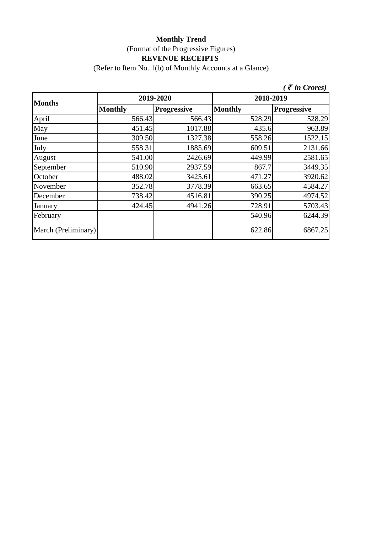(Refer to Item No. 1(b) of Monthly Accounts at a Glance)

|                     |                |                    |                | $\zeta$ $\bar{\zeta}$ in Crores) |  |
|---------------------|----------------|--------------------|----------------|----------------------------------|--|
| <b>Months</b>       |                | 2019-2020          | 2018-2019      |                                  |  |
|                     | <b>Monthly</b> | <b>Progressive</b> | <b>Monthly</b> | <b>Progressive</b>               |  |
| April               | 566.43         | 566.43             | 528.29         | 528.29                           |  |
| May                 | 451.45         | 1017.88            | 435.6          | 963.89                           |  |
| June                | 309.50         | 1327.38            | 558.26         | 1522.15                          |  |
| July                | 558.31         | 1885.69            | 609.51         | 2131.66                          |  |
| August              | 541.00         | 2426.69            | 449.99         | 2581.65                          |  |
| September           | 510.90         | 2937.59            | 867.7          | 3449.35                          |  |
| October             | 488.02         | 3425.61            | 471.27         | 3920.62                          |  |
| November            | 352.78         | 3778.39            | 663.65         | 4584.27                          |  |
| December            | 738.42         | 4516.81            | 390.25         | 4974.52                          |  |
| January             | 424.45         | 4941.26            | 728.91         | 5703.43                          |  |
| February            |                |                    | 540.96         | 6244.39                          |  |
| March (Preliminary) |                |                    | 622.86         | 6867.25                          |  |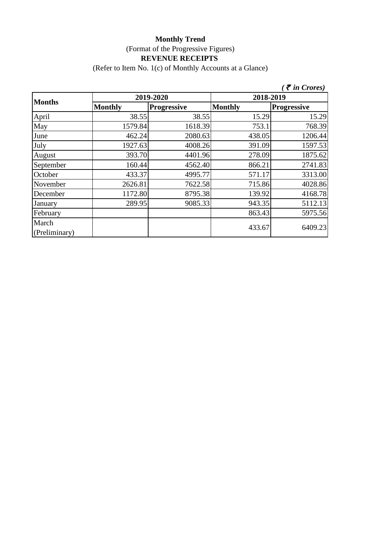(Refer to Item No. 1(c) of Monthly Accounts at a Glance)

|                        |                |                    |                | $\zeta$ <i>( <math>\bar{\zeta}</math> in Crores)</i> |  |
|------------------------|----------------|--------------------|----------------|------------------------------------------------------|--|
| <b>Months</b>          |                | 2019-2020          | 2018-2019      |                                                      |  |
|                        | <b>Monthly</b> | <b>Progressive</b> | <b>Monthly</b> | <b>Progressive</b>                                   |  |
| April                  | 38.55          | 38.55              | 15.29          | 15.29                                                |  |
| May                    | 1579.84        | 1618.39            | 753.1          | 768.39                                               |  |
| June                   | 462.24         | 2080.63            | 438.05         | 1206.44                                              |  |
| July                   | 1927.63        | 4008.26            | 391.09         | 1597.53                                              |  |
| August                 | 393.70         | 4401.96            | 278.09         | 1875.62                                              |  |
| September              | 160.44         | 4562.40            | 866.21         | 2741.83                                              |  |
| October                | 433.37         | 4995.77            | 571.17         | 3313.00                                              |  |
| November               | 2626.81        | 7622.58            | 715.86         | 4028.86                                              |  |
| December               | 1172.80        | 8795.38            | 139.92         | 4168.78                                              |  |
| January                | 289.95         | 9085.33            | 943.35         | 5112.13                                              |  |
| February               |                |                    | 863.43         | 5975.56                                              |  |
| March<br>(Preliminary) |                |                    | 433.67         | 6409.23                                              |  |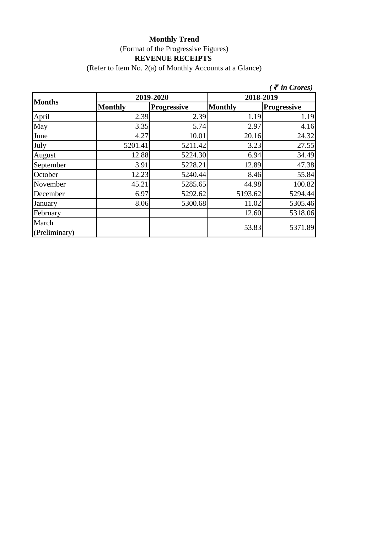(Refer to Item No. 2(a) of Monthly Accounts at a Glance)

|                        |                |                    |                | $\zeta$ $\bar{\zeta}$ in Crores) |  |
|------------------------|----------------|--------------------|----------------|----------------------------------|--|
| <b>Months</b>          |                | 2019-2020          | 2018-2019      |                                  |  |
|                        | <b>Monthly</b> | <b>Progressive</b> | <b>Monthly</b> | <b>Progressive</b>               |  |
| April                  | 2.39           | 2.39               | 1.19           | 1.19                             |  |
| May                    | 3.35           | 5.74               | 2.97           | 4.16                             |  |
| June                   | 4.27           | 10.01              | 20.16          | 24.32                            |  |
| July                   | 5201.41        | 5211.42            | 3.23           | 27.55                            |  |
| August                 | 12.88          | 5224.30            | 6.94           | 34.49                            |  |
| September              | 3.91           | 5228.21            | 12.89          | 47.38                            |  |
| October                | 12.23          | 5240.44            | 8.46           | 55.84                            |  |
| November               | 45.21          | 5285.65            | 44.98          | 100.82                           |  |
| December               | 6.97           | 5292.62            | 5193.62        | 5294.44                          |  |
| January                | 8.06           | 5300.68            | 11.02          | 5305.46                          |  |
| February               |                |                    | 12.60          | 5318.06                          |  |
| March<br>(Preliminary) |                |                    | 53.83          | 5371.89                          |  |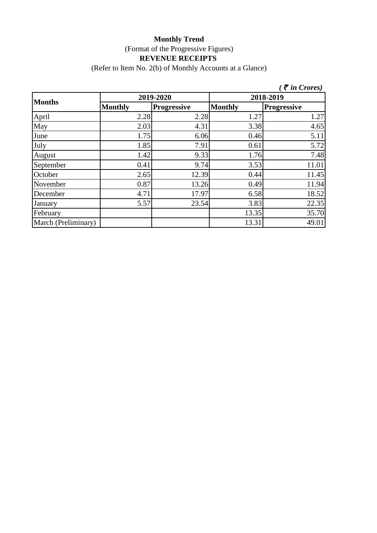(Refer to Item No. 2(b) of Monthly Accounts at a Glance)

|                     |                |                    |                | $\zeta$ $\bar{\zeta}$ in Crores) |  |  |
|---------------------|----------------|--------------------|----------------|----------------------------------|--|--|
|                     |                | 2019-2020          |                | 2018-2019                        |  |  |
| <b>Months</b>       | <b>Monthly</b> | <b>Progressive</b> | <b>Monthly</b> | <b>Progressive</b>               |  |  |
| April               | 2.28           | 2.28               | 1.27           | 1.27                             |  |  |
| May                 | 2.03           | 4.31               | 3.38           | 4.65                             |  |  |
| June                | 1.75           | 6.06               | 0.46           | 5.11                             |  |  |
| July                | 1.85           | 7.91               | 0.61           | 5.72                             |  |  |
| August              | 1.42           | 9.33               | 1.76           | 7.48                             |  |  |
| September           | 0.41           | 9.74               | 3.53           | 11.01                            |  |  |
| October             | 2.65           | 12.39              | 0.44           | 11.45                            |  |  |
| November            | 0.87           | 13.26              | 0.49           | 11.94                            |  |  |
| December            | 4.71           | 17.97              | 6.58           | 18.52                            |  |  |
| January             | 5.57           | 23.54              | 3.83           | 22.35                            |  |  |
| February            |                |                    | 13.35          | 35.70                            |  |  |
| March (Preliminary) |                |                    | 13.31          | 49.01                            |  |  |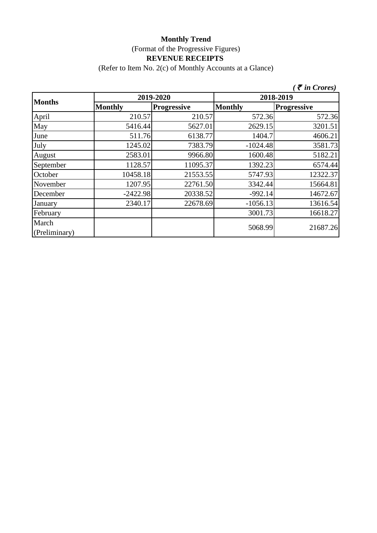(Refer to Item No. 2(c) of Monthly Accounts at a Glance)

|                        |                |                    |                | $\zeta$ $\bar{\zeta}$ in Crores) |  |
|------------------------|----------------|--------------------|----------------|----------------------------------|--|
| <b>Months</b>          |                | 2019-2020          | 2018-2019      |                                  |  |
|                        | <b>Monthly</b> | <b>Progressive</b> | <b>Monthly</b> | <b>Progressive</b>               |  |
| April                  | 210.57         | 210.57             | 572.36         | 572.36                           |  |
| May                    | 5416.44        | 5627.01            | 2629.15        | 3201.51                          |  |
| June                   | 511.76         | 6138.77            | 1404.7         | 4606.21                          |  |
| July                   | 1245.02        | 7383.79            | $-1024.48$     | 3581.73                          |  |
| August                 | 2583.01        | 9966.80            | 1600.48        | 5182.21                          |  |
| September              | 1128.57        | 11095.37           | 1392.23        | 6574.44                          |  |
| October                | 10458.18       | 21553.55           | 5747.93        | 12322.37                         |  |
| November               | 1207.95        | 22761.50           | 3342.44        | 15664.81                         |  |
| December               | $-2422.98$     | 20338.52           | $-992.14$      | 14672.67                         |  |
| January                | 2340.17        | 22678.69           | $-1056.13$     | 13616.54                         |  |
| February               |                |                    | 3001.73        | 16618.27                         |  |
| March<br>(Preliminary) |                |                    | 5068.99        | 21687.26                         |  |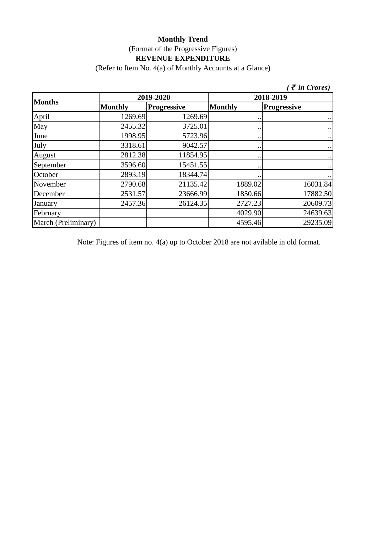(Refer to Item No. 4(a) of Monthly Accounts at a Glance)

|                     |                |                    |                      | $\zeta$ $\bar{\zeta}$ in Crores) |  |
|---------------------|----------------|--------------------|----------------------|----------------------------------|--|
|                     |                | 2019-2020          | 2018-2019            |                                  |  |
| <b>Months</b>       | <b>Monthly</b> | <b>Progressive</b> | <b>Monthly</b>       | <b>Progressive</b>               |  |
| April               | 1269.69        | 1269.69            | $\ddot{\phantom{0}}$ | $\cdot$ .                        |  |
| May                 | 2455.32        | 3725.01            | $\ddot{\phantom{0}}$ | $\cdot\cdot$                     |  |
| June                | 1998.95        | 5723.96            | $\bullet\,\bullet$   | $\ldots$                         |  |
| July                | 3318.61        | 9042.57            | $\bullet\,\bullet$   | $\cdots$                         |  |
| August              | 2812.38        | 11854.95           | $\ddot{\phantom{0}}$ | $\ldots$                         |  |
| September           | 3596.60        | 15451.55           | $\cdot \cdot$        | $\bullet$ .                      |  |
| October             | 2893.19        | 18344.74           | $\ddot{\phantom{0}}$ | $\ldots$                         |  |
| November            | 2790.68        | 21135.42           | 1889.02              | 16031.84                         |  |
| December            | 2531.57        | 23666.99           | 1850.66              | 17882.50                         |  |
| January             | 2457.36        | 26124.35           | 2727.23              | 20609.73                         |  |
| February            |                |                    | 4029.90              | 24639.63                         |  |
| March (Preliminary) |                |                    | 4595.46              | 29235.09                         |  |

Note: Figures of item no. 4(a) up to October 2018 are not avilable in old format.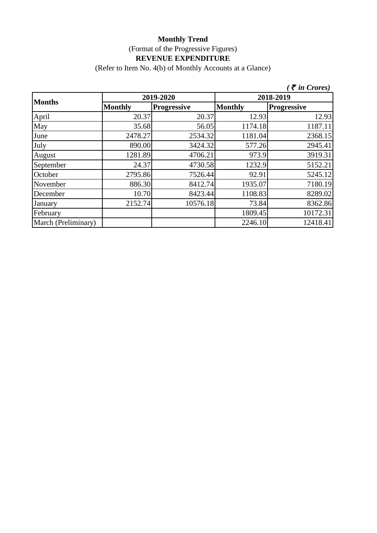(Refer to Item No. 4(b) of Monthly Accounts at a Glance)

|                     |                |                    |                | $\bar{\tau}$ in Crores) |  |  |
|---------------------|----------------|--------------------|----------------|-------------------------|--|--|
| <b>Months</b>       |                | 2019-2020          |                | 2018-2019               |  |  |
|                     | <b>Monthly</b> | <b>Progressive</b> | <b>Monthly</b> | <b>Progressive</b>      |  |  |
| April               | 20.37          | 20.37              | 12.93          | 12.93                   |  |  |
| May                 | 35.68          | 56.05              | 1174.18        | 1187.11                 |  |  |
| June                | 2478.27        | 2534.32            | 1181.04        | 2368.15                 |  |  |
| July                | 890.00         | 3424.32            | 577.26         | 2945.41                 |  |  |
| August              | 1281.89        | 4706.21            | 973.9          | 3919.31                 |  |  |
| September           | 24.37          | 4730.58            | 1232.9         | 5152.21                 |  |  |
| October             | 2795.86        | 7526.44            | 92.91          | 5245.12                 |  |  |
| November            | 886.30         | 8412.74            | 1935.07        | 7180.19                 |  |  |
| December            | 10.70          | 8423.44            | 1108.83        | 8289.02                 |  |  |
| January             | 2152.74        | 10576.18           | 73.84          | 8362.86                 |  |  |
| February            |                |                    | 1809.45        | 10172.31                |  |  |
| March (Preliminary) |                |                    | 2246.10        | 12418.41                |  |  |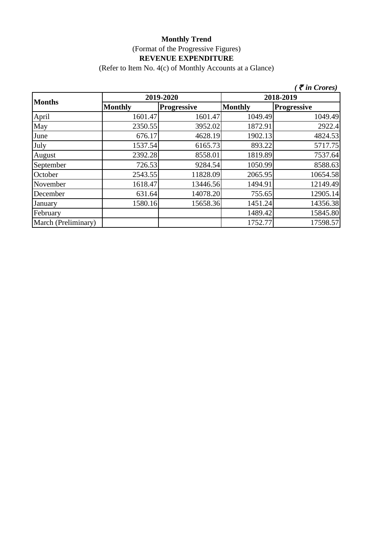(Refer to Item No. 4(c) of Monthly Accounts at a Glance)

|                     |                |                    |                | $\zeta$ $\bar{\zeta}$ in Crores) |  |  |
|---------------------|----------------|--------------------|----------------|----------------------------------|--|--|
| <b>Months</b>       |                | 2019-2020          |                | 2018-2019                        |  |  |
|                     | <b>Monthly</b> | <b>Progressive</b> | <b>Monthly</b> | <b>Progressive</b>               |  |  |
| April               | 1601.47        | 1601.47            | 1049.49        | 1049.49                          |  |  |
| May                 | 2350.55        | 3952.02            | 1872.91        | 2922.4                           |  |  |
| June                | 676.17         | 4628.19            | 1902.13        | 4824.53                          |  |  |
| July                | 1537.54        | 6165.73            | 893.22         | 5717.75                          |  |  |
| August              | 2392.28        | 8558.01            | 1819.89        | 7537.64                          |  |  |
| September           | 726.53         | 9284.54            | 1050.99        | 8588.63                          |  |  |
| October             | 2543.55        | 11828.09           | 2065.95        | 10654.58                         |  |  |
| November            | 1618.47        | 13446.56           | 1494.91        | 12149.49                         |  |  |
| December            | 631.64         | 14078.20           | 755.65         | 12905.14                         |  |  |
| January             | 1580.16        | 15658.36           | 1451.24        | 14356.38                         |  |  |
| February            |                |                    | 1489.42        | 15845.80                         |  |  |
| March (Preliminary) |                |                    | 1752.77        | 17598.57                         |  |  |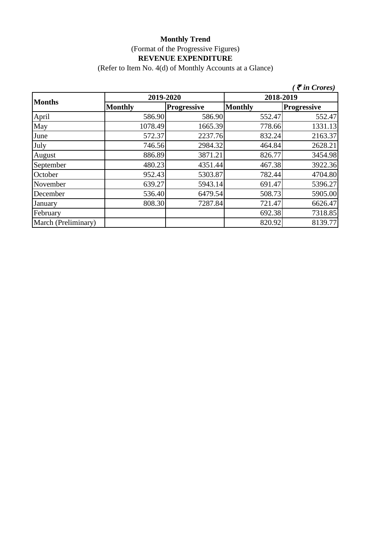(Refer to Item No. 4(d) of Monthly Accounts at a Glance)

|                     |                |                    |                | $\zeta$ $\bar{\zeta}$ in Crores) |  |
|---------------------|----------------|--------------------|----------------|----------------------------------|--|
| <b>Months</b>       | 2019-2020      |                    | 2018-2019      |                                  |  |
|                     | <b>Monthly</b> | <b>Progressive</b> | <b>Monthly</b> | <b>Progressive</b>               |  |
| April               | 586.90         | 586.90             | 552.47         | 552.47                           |  |
| May                 | 1078.49        | 1665.39            | 778.66         | 1331.13                          |  |
| June                | 572.37         | 2237.76            | 832.24         | 2163.37                          |  |
| July                | 746.56         | 2984.32            | 464.84         | 2628.21                          |  |
| August              | 886.89         | 3871.21            | 826.77         | 3454.98                          |  |
| September           | 480.23         | 4351.44            | 467.38         | 3922.36                          |  |
| October             | 952.43         | 5303.87            | 782.44         | 4704.80                          |  |
| November            | 639.27         | 5943.14            | 691.47         | 5396.27                          |  |
| December            | 536.40         | 6479.54            | 508.73         | 5905.00                          |  |
| January             | 808.30         | 7287.84            | 721.47         | 6626.47                          |  |
| February            |                |                    | 692.38         | 7318.85                          |  |
| March (Preliminary) |                |                    | 820.92         | 8139.77                          |  |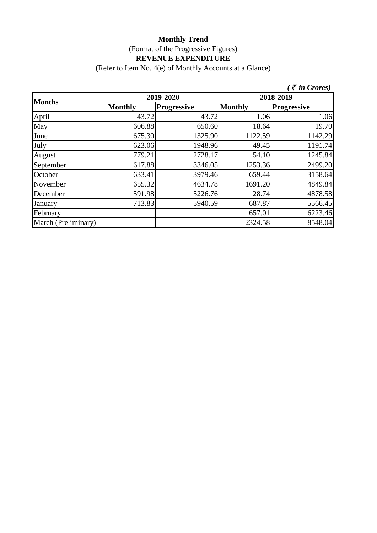(Refer to Item No. 4(e) of Monthly Accounts at a Glance)

|                     |                |                    |                | $\zeta$ <i>(† in Crores)</i> |
|---------------------|----------------|--------------------|----------------|------------------------------|
| <b>Months</b>       | 2019-2020      |                    | 2018-2019      |                              |
|                     | <b>Monthly</b> | <b>Progressive</b> | <b>Monthly</b> | <b>Progressive</b>           |
| April               | 43.72          | 43.72              | 1.06           | 1.06                         |
| May                 | 606.88         | 650.60             | 18.64          | 19.70                        |
| June                | 675.30         | 1325.90            | 1122.59        | 1142.29                      |
| July                | 623.06         | 1948.96            | 49.45          | 1191.74                      |
| August              | 779.21         | 2728.17            | 54.10          | 1245.84                      |
| September           | 617.88         | 3346.05            | 1253.36        | 2499.20                      |
| October             | 633.41         | 3979.46            | 659.44         | 3158.64                      |
| November            | 655.32         | 4634.78            | 1691.20        | 4849.84                      |
| December            | 591.98         | 5226.76            | 28.74          | 4878.58                      |
| January             | 713.83         | 5940.59            | 687.87         | 5566.45                      |
| February            |                |                    | 657.01         | 6223.46                      |
| March (Preliminary) |                |                    | 2324.58        | 8548.04                      |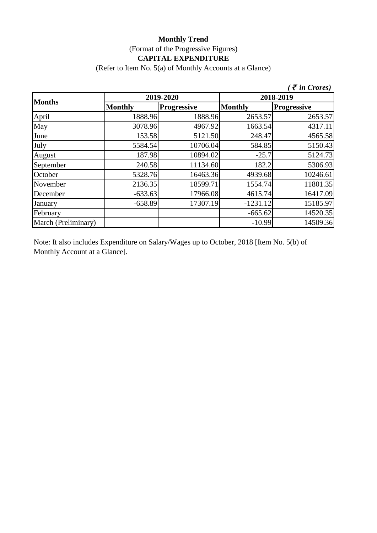# **Monthly Trend** (Format of the Progressive Figures) **CAPITAL EXPENDITURE**

(Refer to Item No. 5(a) of Monthly Accounts at a Glance)

|                     |                |                    |                | $\bar{\tau}$ in Crores) |
|---------------------|----------------|--------------------|----------------|-------------------------|
| <b>Months</b>       | 2019-2020      |                    | 2018-2019      |                         |
|                     | <b>Monthly</b> | <b>Progressive</b> | <b>Monthly</b> | <b>Progressive</b>      |
| April               | 1888.96        | 1888.96            | 2653.57        | 2653.57                 |
| May                 | 3078.96        | 4967.92            | 1663.54        | 4317.11                 |
| June                | 153.58         | 5121.50            | 248.47         | 4565.58                 |
| July                | 5584.54        | 10706.04           | 584.85         | 5150.43                 |
| August              | 187.98         | 10894.02           | $-25.7$        | 5124.73                 |
| September           | 240.58         | 11134.60           | 182.2          | 5306.93                 |
| October             | 5328.76        | 16463.36           | 4939.68        | 10246.61                |
| November            | 2136.35        | 18599.71           | 1554.74        | 11801.35                |
| December            | $-633.63$      | 17966.08           | 4615.74        | 16417.09                |
| January             | $-658.89$      | 17307.19           | $-1231.12$     | 15185.97                |
| February            |                |                    | $-665.62$      | 14520.35                |
| March (Preliminary) |                |                    | $-10.99$       | 14509.36                |

Note: It also includes Expenditure on Salary/Wages up to October, 2018 [Item No. 5(b) of Monthly Account at a Glance].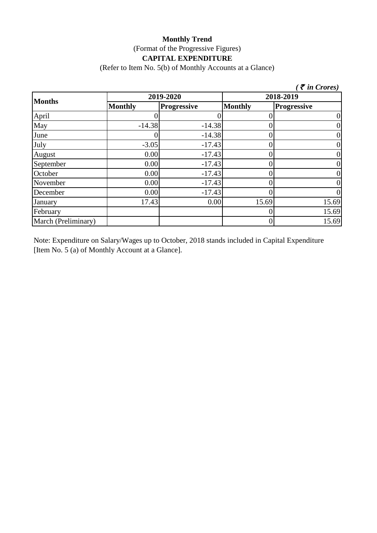#### **Monthly Trend** (Format of the Progressive Figures) **CAPITAL EXPENDITURE**

(Refer to Item No. 5(b) of Monthly Accounts at a Glance)

|                     |                |                    |                | $\zeta$ $\bar{\zeta}$ in Crores) |
|---------------------|----------------|--------------------|----------------|----------------------------------|
| <b>Months</b>       | 2019-2020      |                    | 2018-2019      |                                  |
|                     | <b>Monthly</b> | <b>Progressive</b> | <b>Monthly</b> | <b>Progressive</b>               |
| April               |                |                    |                | 0                                |
| May                 | $-14.38$       | $-14.38$           |                | 0                                |
| June                |                | $-14.38$           | 0              | $\boldsymbol{0}$                 |
| July                | $-3.05$        | $-17.43$           |                | 0                                |
| August              | 0.00           | $-17.43$           |                | 0                                |
| September           | 0.00           | $-17.43$           |                | 0                                |
| October             | 0.00           | $-17.43$           |                | 0                                |
| November            | 0.00           | $-17.43$           |                | $\boldsymbol{0}$                 |
| December            | 0.00           | $-17.43$           |                | $\overline{0}$                   |
| January             | 17.43          | 0.00               | 15.69          | 15.69                            |
| February            |                |                    |                | 15.69                            |
| March (Preliminary) |                |                    | 0              | 15.69                            |

Note: Expenditure on Salary/Wages up to October, 2018 stands included in Capital Expenditure [Item No. 5 (a) of Monthly Account at a Glance].